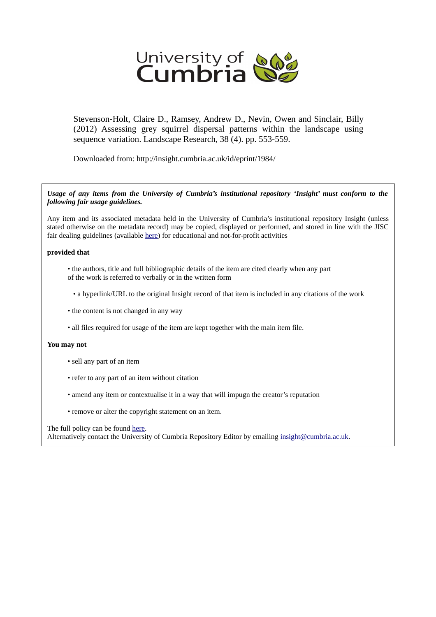

Stevenson-Holt, Claire D., Ramsey, Andrew D., Nevin, Owen and Sinclair, Billy (2012) Assessing grey squirrel dispersal patterns within the landscape using sequence variation. Landscape Research, 38 (4). pp. 553-559.

Downloaded from: http://insight.cumbria.ac.uk/id/eprint/1984/

*Usage of any items from the University of Cumbria's institutional repository 'Insight' must conform to the following fair usage guidelines.*

Any item and its associated metadata held in the University of Cumbria's institutional repository Insight (unless stated otherwise on the metadata record) may be copied, displayed or performed, and stored in line with the JISC fair dealing guidelines (available [here\)](http://www.ukoln.ac.uk/services/elib/papers/pa/fair/) for educational and not-for-profit activities

### **provided that**

- the authors, title and full bibliographic details of the item are cited clearly when any part of the work is referred to verbally or in the written form
	- a hyperlink/URL to the original Insight record of that item is included in any citations of the work
- the content is not changed in any way
- all files required for usage of the item are kept together with the main item file.

### **You may not**

- sell any part of an item
- refer to any part of an item without citation
- amend any item or contextualise it in a way that will impugn the creator's reputation
- remove or alter the copyright statement on an item.

#### The full policy can be found [here.](http://insight.cumbria.ac.uk/legal.html#section5)

Alternatively contact the University of Cumbria Repository Editor by emailing [insight@cumbria.ac.uk.](mailto:insight@cumbria.ac.uk)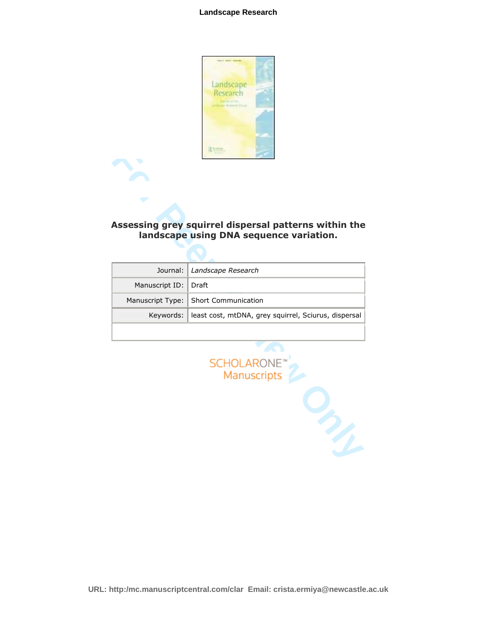

# Assessing grey squirrel dispersal patterns within the landscape using DNA sequence variation.

|                  | Assessing grey squirrel dispersal patterns within the<br>landscape using DNA sequence variation. |
|------------------|--------------------------------------------------------------------------------------------------|
|                  |                                                                                                  |
| Journal:         | Landscape Research                                                                               |
| Manuscript ID:   | Draft                                                                                            |
| Manuscript Type: | <b>Short Communication</b>                                                                       |
| Keywords:        | least cost, mtDNA, grey squirrel, Sciurus, dispersal                                             |
|                  |                                                                                                  |
|                  | SCHOLARONE <sup>®</sup><br>Manuscripts                                                           |
|                  |                                                                                                  |



**URL: http:/mc.manuscriptcentral.com/clar Email: crista.ermiya@newcastle.ac.uk**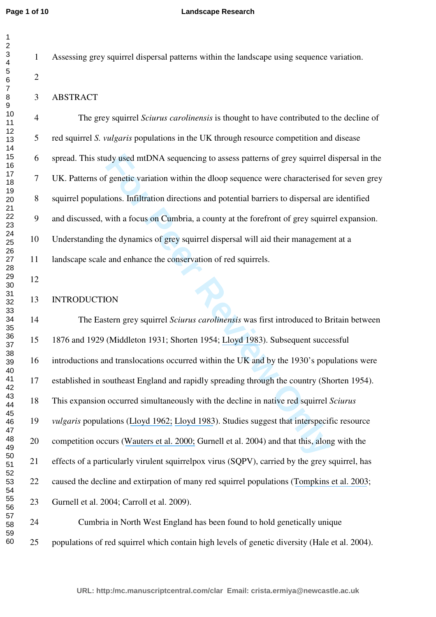### **Landscape Research**

Assessing grey squirrel dispersal patterns within the landscape using sequence variation.

### ABSTRACT

 The grey squirrel *Sciurus carolinensis* is thought to have contributed to the decline of red squirrel *S. vulgaris* populations in the UK through resource competition and disease spread. This study used mtDNA sequencing to assess patterns of grey squirrel dispersal in the UK. Patterns of genetic variation within the dloop sequence were characterised for seven grey squirrel populations. Infiltration directions and potential barriers to dispersal are identified and discussed, with a focus on Cumbria, a county at the forefront of grey squirrel expansion. Understanding the dynamics of grey squirrel dispersal will aid their management at a landscape scale and enhance the conservation of red squirrels.

### INTRODUCTION

Interaction within the dloop sequence were characterised<br> *F* genetic variation within the dloop sequence were characterised<br>
tions. Infiltration directions and potential barriers to dispersal are<br>
with a focus on Cumbria, The Eastern grey squirrel *Sciurus carolinensis* was first introduced to Britain between 1876 and 1929 (Middleton 1931; Shorten 1954; Lloyd 1983). Subsequent successful introductions and translocations occurred within the UK and by the 1930's populations were established in southeast England and rapidly spreading through the country (Shorten 1954). This expansion occurred simultaneously with the decline in native red squirrel *Sciurus vulgaris* populations (Lloyd 1962; Lloyd 1983). Studies suggest that interspecific resource competition occurs (Wauters et al. 2000; Gurnell et al. 2004) and that this, along with the effects of a particularly virulent squirrelpox virus (SQPV), carried by the grey squirrel, has caused the decline and extirpation of many red squirrel populations ([Tompkins et al. 2003](https://www.researchgate.net/publication/216634666_Ecological_replacement_of_natuve_red_squirrels_by_invasive_greys_driven_by_disease?el=1_x_8&enrichId=rgreq-546cc208bbdc87b891b165d6597515b3-XXX&enrichSource=Y292ZXJQYWdlOzI1NDMxNTE1MTtBUzoxMzIxMzM2ODc0MDI0OTZAMTQwODUxNDUzNDQ1MA==); Gurnell et al. 2004; Carroll et al. 2009).

24 Cumbria in North West England has been found to hold genetically unique populations of red squirrel which contain high levels of genetic diversity (Hale et al. 2004).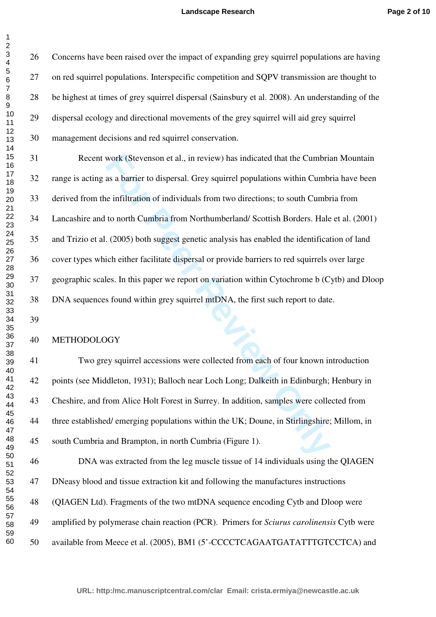Concerns have been raised over the impact of expanding grey squirrel populations are having on red squirrel populations. Interspecific competition and SQPV transmission are thought to be highest at times of grey squirrel dispersal (Sainsbury et al. 2008). An understanding of the dispersal ecology and directional movements of the grey squirrel will aid grey squirrel management decisions and red squirrel conservation.

work (Stevenson et al., in review) has indicated that the Cumbrias as a barrier to dispersal. Grey squirrel populations within Cumbri<br>as a barrier to dispersal. Grey squirrel populations within Cumbri<br>to north Cumbria from 31 Recent work (Stevenson et al., in review) has indicated that the Cumbrian Mountain range is acting as a barrier to dispersal. Grey squirrel populations within Cumbria have been derived from the infiltration of individuals from two directions; to south Cumbria from Lancashire and to north Cumbria from Northumberland/ Scottish Borders. Hale et al. (2001) and Trizio et al. (2005) both suggest genetic analysis has enabled the identification of land cover types which either facilitate dispersal or provide barriers to red squirrels over large geographic scales. In this paper we report on variation within Cytochrome b (Cytb) and Dloop DNA sequences found within grey squirrel mtDNA, the first such report to date.

## 

### METHODOLOGY

41 Two grey squirrel accessions were collected from each of four known introduction points (see Middleton, 1931); Balloch near Loch Long; Dalkeith in Edinburgh; Henbury in Cheshire, and from Alice Holt Forest in Surrey. In addition, samples were collected from three established/ emerging populations within the UK; Doune, in Stirlingshire; Millom, in south Cumbria and Brampton, in north Cumbria (Figure 1).

46 DNA was extracted from the leg muscle tissue of 14 individuals using the QIAGEN DNeasy blood and tissue extraction kit and following the manufactures instructions (QIAGEN Ltd). Fragments of the two mtDNA sequence encoding Cytb and Dloop were amplified by polymerase chain reaction (PCR). Primers for *Sciurus carolinensis* Cytb were available from Meece et al. (2005), BM1 (5'-CCCCTCAGAATGATATTTGTCCTCA) and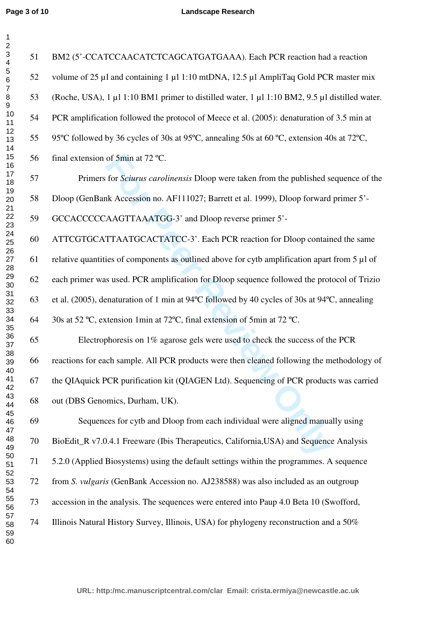## **Landscape Research**

| $\overline{c}$                               |                                       |
|----------------------------------------------|---------------------------------------|
| 34567                                        | $\mathfrak{S}$                        |
|                                              |                                       |
| 8<br>9<br>10                                 |                                       |
|                                              |                                       |
| $1123$<br>$1456$<br>$1789$<br>$192$          |                                       |
|                                              |                                       |
|                                              |                                       |
|                                              |                                       |
| 21<br>22<br>23<br>24                         | $\frac{5}{6}$                         |
| 25<br>26<br>27                               |                                       |
|                                              | $\frac{6}{6}$                         |
| 28<br>29<br>30                               |                                       |
|                                              | 6                                     |
|                                              | $\overline{6}$                        |
| 31<br>32<br>33<br>34<br>35<br>36<br>37<br>38 | $\begin{array}{c} 6 \\ 6 \end{array}$ |
| 39                                           |                                       |
| 40<br>41                                     | 6                                     |
| 42<br>43<br>44                               | 6                                     |
| 45<br>46                                     | 6                                     |
| 47<br>48                                     | 7                                     |
| 49<br>50                                     |                                       |
| $\overline{51}$<br>52<br>53                  | $\overline{\mathcal{L}}$              |
| 54<br>55                                     |                                       |
| 56<br>57                                     | 7                                     |
| 58<br>59                                     |                                       |
| 60                                           |                                       |

| 51 | BM2 (5'-CCATCCAACATCTCAGCATGATGAAA). Each PCR reaction had a reaction                                                       |
|----|-----------------------------------------------------------------------------------------------------------------------------|
| 52 | volume of 25 μl and containing 1 μl 1:10 mtDNA, 12.5 μl AmpliTaq Gold PCR master mix                                        |
| 53 | (Roche, USA), 1 µl 1:10 BM1 primer to distilled water, 1 µl 1:10 BM2, 9.5 µl distilled water.                               |
| 54 | PCR amplification followed the protocol of Meece et al. (2005): denaturation of 3.5 min at                                  |
| 55 | 95°C followed by 36 cycles of 30s at 95°C, annealing 50s at 60 °C, extension 40s at 72°C,                                   |
| 56 | final extension of 5min at 72 °C.                                                                                           |
| 57 | Primers for <i>Sciurus carolinensis</i> Dloop were taken from the published sequence of the                                 |
| 58 | Dloop (GenBank Accession no. AF111027; Barrett et al. 1999), Dloop forward primer 5'-                                       |
| 59 | GCCACCCCCAAGTTAAATGG-3' and Dloop reverse primer 5'-                                                                        |
| 60 | ATTCGTGCATTAATGCACTATCC-3'. Each PCR reaction for Dloop contained the same                                                  |
| 61 | relative quantities of components as outlined above for cytb amplification apart from 5 µl of                               |
| 62 | each primer was used. PCR amplification for Dloop sequence followed the protocol of Trizio                                  |
| 63 | et al. (2005), denaturation of 1 min at 94 $\rm{^{\circ}C}$ followed by 40 cycles of 30s at 94 $\rm{^{\circ}C}$ , annealing |
| 64 | 30s at 52 °C, extension 1min at 72°C, final extension of 5min at 72 °C.                                                     |
| 65 | Electrophoresis on 1% agarose gels were used to check the success of the PCR                                                |
| 66 | reactions for each sample. All PCR products were then cleaned following the methodology of                                  |
| 67 | the QIAquick PCR purification kit (QIAGEN Ltd). Sequencing of PCR products was carried                                      |
| 68 | out (DBS Genomics, Durham, UK).                                                                                             |
| 69 | Sequences for cytb and Dloop from each individual were aligned manually using                                               |
| 70 | BioEdit_R v7.0.4.1 Freeware (Ibis Therapeutics, California, USA) and Sequence Analysis                                      |
| 71 | 5.2.0 (Applied Biosystems) using the default settings within the programmes. A sequence                                     |
| 72 | from S. vulgaris (GenBank Accession no. AJ238588) was also included as an outgroup                                          |
| 73 | accession in the analysis. The sequences were entered into Paup 4.0 Beta 10 (Swofford,                                      |
| 74 | Illinois Natural History Survey, Illinois, USA) for phylogeny reconstruction and a 50%                                      |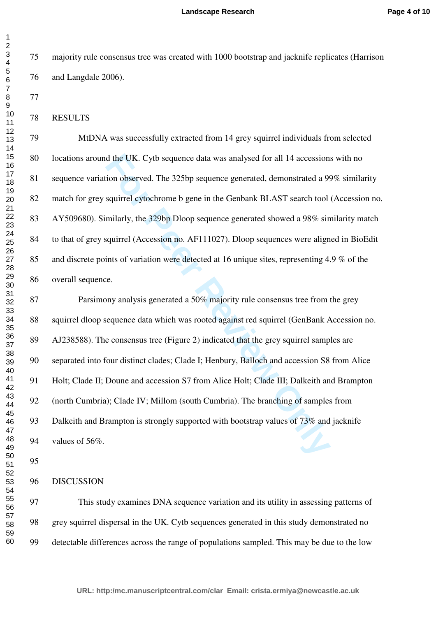majority rule consensus tree was created with 1000 bootstrap and jacknife replicates (Harrison and Langdale 2006).

RESULTS

 MtDNA was successfully extracted from 14 grey squirrel individuals from selected locations around the UK. Cytb sequence data was analysed for all 14 accessions with no sequence variation observed. The 325bp sequence generated, demonstrated a 99% similarity match for grey squirrel cytochrome b gene in the Genbank BLAST search tool (Accession no. AY509680). Similarly, the 329bp Dloop sequence generated showed a 98% similarity match to that of grey squirrel (Accession no. AF111027). Dloop sequences were aligned in BioEdit and discrete points of variation were detected at 16 unique sites, representing 4.9 % of the overall sequence.

d the UK. Cytb sequence data was analysed for all 14 accessions<br>ion observed. The 325bp sequence generated, demonstrated a 99<br>squirrel cytochrome b gene in the Genbank BLAST search tool<br>milarly, the 329bp Dloop sequence ge 87 Parsimony analysis generated a 50% majority rule consensus tree from the grey squirrel dloop sequence data which was rooted against red squirrel (GenBank Accession no. AJ238588). The consensus tree (Figure 2) indicated that the grey squirrel samples are separated into four distinct clades; Clade I; Henbury, Balloch and accession S8 from Alice Holt; Clade II; Doune and accession S7 from Alice Holt; Clade III; Dalkeith and Brampton (north Cumbria); Clade IV; Millom (south Cumbria). The branching of samples from Dalkeith and Brampton is strongly supported with bootstrap values of 73% and jacknife values of 56%.

DISCUSSION

 This study examines DNA sequence variation and its utility in assessing patterns of grey squirrel dispersal in the UK. Cytb sequences generated in this study demonstrated no detectable differences across the range of populations sampled. This may be due to the low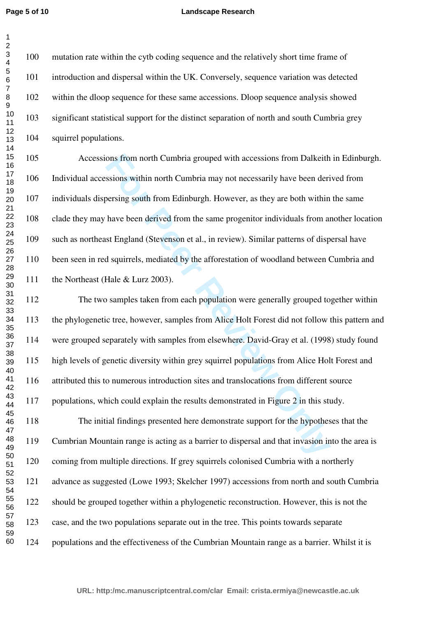### **Landscape Research**

 mutation rate within the cytb coding sequence and the relatively short time frame of introduction and dispersal within the UK. Conversely, sequence variation was detected within the dloop sequence for these same accessions. Dloop sequence analysis showed significant statistical support for the distinct separation of north and south Cumbria grey squirrel populations.

 Accessions from north Cumbria grouped with accessions from Dalkeith in Edinburgh. Individual accessions within north Cumbria may not necessarily have been derived from individuals dispersing south from Edinburgh. However, as they are both within the same clade they may have been derived from the same progenitor individuals from another location such as northeast England (Stevenson et al., in review). Similar patterns of dispersal have been seen in red squirrels, mediated by the afforestation of woodland between Cumbria and 111 the Northeast (Hale & Lurz 2003).

ons from north Cumbria grouped with accessions from Dalkeith<br>ssions within north Cumbria may not necessarily have been deri<br>persing south from Edinburgh. However, as they are both within<br>have been derived from the same pro The two samples taken from each population were generally grouped together within the phylogenetic tree, however, samples from Alice Holt Forest did not follow this pattern and were grouped separately with samples from elsewhere. David-Gray et al. (1998) study found high levels of genetic diversity within grey squirrel populations from Alice Holt Forest and attributed this to numerous introduction sites and translocations from different source 117 populations, which could explain the results demonstrated in Figure 2 in this study. 118 The initial findings presented here demonstrate support for the hypotheses that the Cumbrian Mountain range is acting as a barrier to dispersal and that invasion into the area is coming from multiple directions. If grey squirrels colonised Cumbria with a northerly advance as suggested (Lowe 1993; Skelcher 1997) accessions from north and south Cumbria

should be grouped together within a phylogenetic reconstruction. However, this is not the

- case, and the two populations separate out in the tree. This points towards separate
- populations and the effectiveness of the Cumbrian Mountain range as a barrier. Whilst it is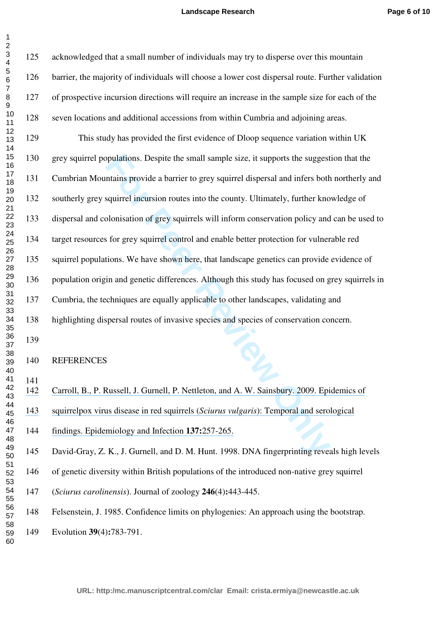| $\boldsymbol{2}$                   |     |                                                                                                   |
|------------------------------------|-----|---------------------------------------------------------------------------------------------------|
| $\ensuremath{\mathsf{3}}$<br>4     | 125 | acknowledged that a small number of individuals may try to disperse over this mountain            |
| 5<br>6                             | 126 | barrier, the majority of individuals will choose a lower cost dispersal route. Further validation |
| $\overline{\mathcal{I}}$<br>8<br>9 | 127 | of prospective incursion directions will require an increase in the sample size for each of the   |
| 10<br>11                           | 128 | seven locations and additional accessions from within Cumbria and adjoining areas.                |
| 12<br>13                           | 129 | This study has provided the first evidence of Dloop sequence variation within UK                  |
| 14<br>15<br>16                     | 130 | grey squirrel populations. Despite the small sample size, it supports the suggestion that the     |
| 17<br>18                           | 131 | Cumbrian Mountains provide a barrier to grey squirrel dispersal and infers both northerly and     |
| 19<br>20                           | 132 | southerly grey squirrel incursion routes into the county. Ultimately, further knowledge of        |
| 21<br>22<br>23                     | 133 | dispersal and colonisation of grey squirrels will inform conservation policy and can be used to   |
| 24<br>25                           | 134 | target resources for grey squirrel control and enable better protection for vulnerable red        |
| 26<br>27<br>28                     | 135 | squirrel populations. We have shown here, that landscape genetics can provide evidence of         |
| 29<br>30                           | 136 | population origin and genetic differences. Although this study has focused on grey squirrels in   |
| 31<br>32                           | 137 | Cumbria, the techniques are equally applicable to other landscapes, validating and                |
| 33<br>34<br>35                     | 138 | highlighting dispersal routes of invasive species and species of conservation concern.            |
| 36<br>37                           | 139 |                                                                                                   |
| 38<br>39                           | 140 | <b>REFERENCES</b>                                                                                 |
| 40<br>41<br>42                     | 141 |                                                                                                   |
| 43<br>44                           | 142 | Carroll, B., P. Russell, J. Gurnell, P. Nettleton, and A. W. Sainsbury. 2009. Epidemics of        |
| 45<br>46<br>47                     | 143 | squirrelpox virus disease in red squirrels (Sciurus vulgaris): Temporal and serological           |
| 48<br>49                           | 144 | findings. Epidemiology and Infection 137:257-265.                                                 |
| 50<br>51                           | 145 | David-Gray, Z. K., J. Gurnell, and D. M. Hunt. 1998. DNA fingerprinting reveals high levels       |
| 52<br>53<br>54                     | 146 | of genetic diversity within British populations of the introduced non-native grey squirrel        |
| 55<br>56                           | 147 | (Sciurus carolinensis). Journal of zoology 246(4):443-445.                                        |
| 57<br>58                           | 148 | Felsenstein, J. 1985. Confidence limits on phylogenies: An approach using the bootstrap.          |
| 59<br>60                           | 149 | Evolution 39(4):783-791.                                                                          |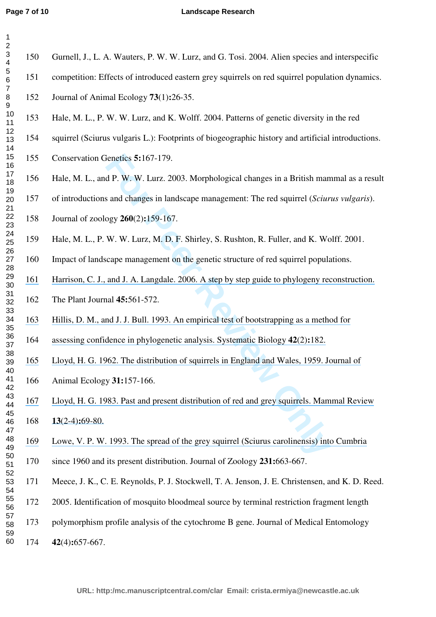#### **Page 7 of 10**

## **Landscape Research**

| $\overline{c}$<br>$\ensuremath{\mathsf{3}}$                                                                                                                                      | 150 | Gurnell, J., L. A. Wauters, P. W. W. Lurz, and G. Tosi. 2004. Alien species and interspecific     |
|----------------------------------------------------------------------------------------------------------------------------------------------------------------------------------|-----|---------------------------------------------------------------------------------------------------|
| $\overline{\mathbf{4}}$<br>5                                                                                                                                                     | 151 | competition: Effects of introduced eastern grey squirrels on red squirrel population dynamics.    |
| $6\phantom{1}6$<br>$\overline{7}$                                                                                                                                                |     |                                                                                                   |
| $\bf 8$<br>9                                                                                                                                                                     | 152 | Journal of Animal Ecology 73(1):26-35.                                                            |
| 10<br>11<br>12<br>13<br>14<br>15<br>16<br>17<br>18<br>19<br>20<br>21<br>22<br>23<br>24<br>25<br>26<br>27<br>28<br>29<br>30<br>31<br>32<br>33<br>34<br>35<br>36<br>37<br>38<br>39 | 153 | Hale, M. L., P. W. W. Lurz, and K. Wolff. 2004. Patterns of genetic diversity in the red          |
|                                                                                                                                                                                  | 154 | squirrel (Sciurus vulgaris L.): Footprints of biogeographic history and artificial introductions. |
|                                                                                                                                                                                  | 155 | Conservation Genetics 5:167-179.                                                                  |
|                                                                                                                                                                                  | 156 | Hale, M. L., and P. W. W. Lurz. 2003. Morphological changes in a British mammal as a result       |
|                                                                                                                                                                                  | 157 | of introductions and changes in landscape management: The red squirrel (Sciurus vulgaris).        |
|                                                                                                                                                                                  | 158 | Journal of zoology 260(2):159-167.                                                                |
|                                                                                                                                                                                  | 159 | Hale, M. L., P. W. W. Lurz, M. D. F. Shirley, S. Rushton, R. Fuller, and K. Wolff. 2001.          |
|                                                                                                                                                                                  | 160 | Impact of landscape management on the genetic structure of red squirrel populations.              |
|                                                                                                                                                                                  | 161 | Harrison, C. J., and J. A. Langdale. 2006. A step by step guide to phylogeny reconstruction.      |
|                                                                                                                                                                                  | 162 | The Plant Journal 45:561-572.                                                                     |
|                                                                                                                                                                                  | 163 | Hillis, D. M., and J. J. Bull. 1993. An empirical test of bootstrapping as a method for           |
|                                                                                                                                                                                  | 164 | assessing confidence in phylogenetic analysis. Systematic Biology 42(2):182.                      |
|                                                                                                                                                                                  | 165 | Lloyd, H. G. 1962. The distribution of squirrels in England and Wales, 1959. Journal of           |
| 40<br>41<br>42                                                                                                                                                                   | 166 | Animal Ecology 31:157-166.                                                                        |
| 43<br>44                                                                                                                                                                         | 167 | Lloyd, H. G. 1983. Past and present distribution of red and grey squirrels. Mammal Review         |
| 45<br>46<br>47<br>48<br>49<br>50<br>51<br>52<br>53<br>54<br>55<br>56<br>57<br>58                                                                                                 | 168 | $13(2-4):69-80.$                                                                                  |
|                                                                                                                                                                                  | 169 | Lowe, V. P. W. 1993. The spread of the grey squirrel (Sciurus carolinensis) into Cumbria          |
|                                                                                                                                                                                  | 170 | since 1960 and its present distribution. Journal of Zoology 231:663-667.                          |
|                                                                                                                                                                                  | 171 | Meece, J. K., C. E. Reynolds, P. J. Stockwell, T. A. Jenson, J. E. Christensen, and K. D. Reed.   |
|                                                                                                                                                                                  | 172 | 2005. Identification of mosquito bloodmeal source by terminal restriction fragment length         |
|                                                                                                                                                                                  | 173 | polymorphism profile analysis of the cytochrome B gene. Journal of Medical Entomology             |
| 59<br>60                                                                                                                                                                         | 174 | $42(4): 657-667.$                                                                                 |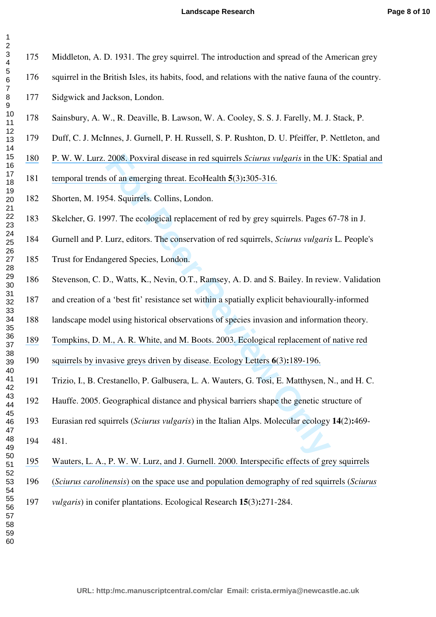| 3456789101123415167890 |
|------------------------|
|                        |
|                        |
|                        |
|                        |
|                        |
|                        |
|                        |
|                        |
|                        |
|                        |
|                        |
|                        |
|                        |
|                        |
|                        |
|                        |
|                        |
|                        |
|                        |
|                        |
|                        |
|                        |
|                        |
|                        |
|                        |
| 41                     |
| 42                     |
| 43                     |
| 44                     |
| 45                     |
| 46                     |
| 47                     |
|                        |
| 48                     |
| 49<br>50               |
|                        |
|                        |
| 51<br>52               |
| $\overline{5}$<br>3    |
| 54                     |
| 55                     |
| 56                     |
|                        |
| 57                     |
| 58                     |
| 59                     |
| 60                     |

  $\mathcal{L}$ 

Middleton, A. D. 1931. The grey squirrel. The introduction and spread of the American grey

- squirrel in the British Isles, its habits, food, and relations with the native fauna of the country.
- Sidgwick and Jackson, London.
- Sainsbury, A. W., R. Deaville, B. Lawson, W. A. Cooley, S. S. J. Farelly, M. J. Stack, P.
- Duff, C. J. McInnes, J. Gurnell, P. H. Russell, S. P. Rushton, D. U. Pfeiffer, P. Nettleton, and
- P. W. W. Lurz. 2008. Poxviral disease in red squirrels *Sciurus vulgaris* in the UK: Spatial and
- [temporal trends of an emerging threat. EcoHealth](https://www.researchgate.net/publication/23385491_Poxviral_Disease_in_Red_Squirrels_Sciurus_vulgaris_in_the_UK_Spatial_and_Temporal_Trends_of_an_Emerging_Threat?el=1_x_8&enrichId=rgreq-546cc208bbdc87b891b165d6597515b3-XXX&enrichSource=Y292ZXJQYWdlOzI1NDMxNTE1MTtBUzoxMzIxMzM2ODc0MDI0OTZAMTQwODUxNDUzNDQ1MA==) **5**(3)**:**305-316.
- Shorten, M. 1954. Squirrels. Collins, London.
- Skelcher, G. 1997. The ecological replacement of red by grey squirrels. Pages 67-78 in J.
- Gurnell and P. Lurz, editors. The conservation of red squirrels, *Sciurus vulgaris* L. People's
- Trust for Endangered Species, London.
- 2008. Poxviral disease in red squirrels *Sciurus vulgaris* in the U<br>
of an emerging threat. EcoHealth **5**(3):305-316.<br>
54. Squirrels. Collins, London.<br>
97. The ecological replacement of red by grey squirrels. Pages 6<br>
Lurz Stevenson, C. D., Watts, K., Nevin, O.T., Ramsey, A. D. and S. Bailey. In review. Validation
- and creation of a 'best fit' resistance set within a spatially explicit behaviourally-informed
- landscape model using historical observations of species invasion and information theory.
- [Tompkins, D. M., A. R. White, and M. Boots. 2003. Ecological replacement of native red](https://www.researchgate.net/publication/216634666_Ecological_replacement_of_natuve_red_squirrels_by_invasive_greys_driven_by_disease?el=1_x_8&enrichId=rgreq-546cc208bbdc87b891b165d6597515b3-XXX&enrichSource=Y292ZXJQYWdlOzI1NDMxNTE1MTtBUzoxMzIxMzM2ODc0MDI0OTZAMTQwODUxNDUzNDQ1MA==)
- [squirrels by invasive greys driven by disease. Ecology Letters](https://www.researchgate.net/publication/216634666_Ecological_replacement_of_natuve_red_squirrels_by_invasive_greys_driven_by_disease?el=1_x_8&enrichId=rgreq-546cc208bbdc87b891b165d6597515b3-XXX&enrichSource=Y292ZXJQYWdlOzI1NDMxNTE1MTtBUzoxMzIxMzM2ODc0MDI0OTZAMTQwODUxNDUzNDQ1MA==) **6**(3)**:**189-196.
- Trizio, I., B. Crestanello, P. Galbusera, L. A. Wauters, G. Tosi, E. Matthysen, N., and H. C.
- Hauffe. 2005. Geographical distance and physical barriers shape the genetic structure of
- Eurasian red squirrels (*Sciurus vulgaris*) in the Italian Alps. Molecular ecology **14**(2)**:**469-
- 481.
- [Wauters, L. A., P. W. W. Lurz, and J. Gurnell. 2000. Interspecific effects of grey squirrels](https://www.researchgate.net/publication/226113998_Interspecific_effects_of_grey_squirrels_Sciurus_carolinensis_on_the_space_use_and_population_demography_of_red_squirrels_Sciurus_vulgaris_in_conifer_plantations?el=1_x_8&enrichId=rgreq-546cc208bbdc87b891b165d6597515b3-XXX&enrichSource=Y292ZXJQYWdlOzI1NDMxNTE1MTtBUzoxMzIxMzM2ODc0MDI0OTZAMTQwODUxNDUzNDQ1MA==)
- (*Sciurus carolinensis*[\) on the space use and population demography of red squirrels \(](https://www.researchgate.net/publication/226113998_Interspecific_effects_of_grey_squirrels_Sciurus_carolinensis_on_the_space_use_and_population_demography_of_red_squirrels_Sciurus_vulgaris_in_conifer_plantations?el=1_x_8&enrichId=rgreq-546cc208bbdc87b891b165d6597515b3-XXX&enrichSource=Y292ZXJQYWdlOzI1NDMxNTE1MTtBUzoxMzIxMzM2ODc0MDI0OTZAMTQwODUxNDUzNDQ1MA==)*Sciurus* 
	- *vulgaris*) in conifer plantations. Ecological Research **15**(3)**:**271-284.

**URL: http:/mc.manuscriptcentral.com/clar Email: crista.ermiya@newcastle.ac.uk**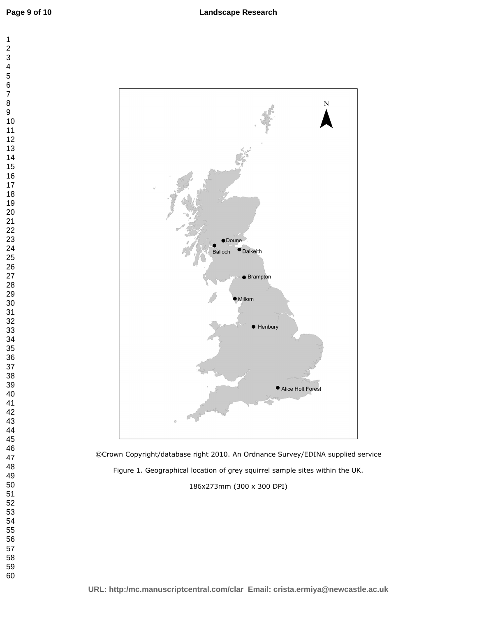

©Crown Copyright/database right 2010. An Ordnance Survey/EDINA supplied service Figure 1. Geographical location of grey squirrel sample sites within the UK.

186x273mm (300 x 300 DPI)